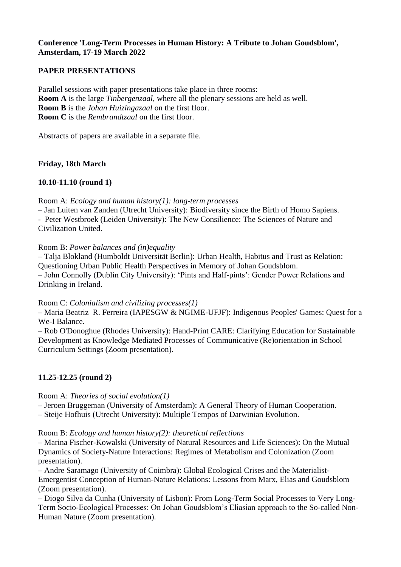# **Conference 'Long-Term Processes in Human History: A Tribute to Johan Goudsblom', Amsterdam, 17-19 March 2022**

# **PAPER PRESENTATIONS**

Parallel sessions with paper presentations take place in three rooms: **Room A** is the large *Tinbergenzaal*, where all the plenary sessions are held as well. **Room B** is the *Johan Huizingazaal* on the first floor. **Room C** is the *Rembrandtzaal* on the first floor.

Abstracts of papers are available in a separate file.

## **Friday, 18th March**

## **10.10-11.10 (round 1)**

Room A: *Ecology and human history(1): long-term processes*

– Jan Luiten van Zanden (Utrecht University): Biodiversity since the Birth of Homo Sapiens.

- Peter Westbroek (Leiden University): The New Consilience: The Sciences of Nature and Civilization United.

### Room B: *Power balances and (in)equality*

– Talja Blokland (Humboldt Universität Berlin): Urban Health, Habitus and Trust as Relation: Questioning Urban Public Health Perspectives in Memory of Johan Goudsblom. – John Connolly (Dublin City University): 'Pints and Half-pints': Gender Power Relations and Drinking in Ireland.

### Room C: *Colonialism and civilizing processes(1)*

– Maria Beatriz R. Ferreira (IAPESGW & NGIME-UFJF): Indigenous Peoples' Games: Quest for a We-I Balance.

– Rob O'Donoghue (Rhodes University): Hand-Print CARE: Clarifying Education for Sustainable Development as Knowledge Mediated Processes of Communicative (Re)orientation in School Curriculum Settings (Zoom presentation).

# **11.25-12.25 (round 2)**

### Room A: *Theories of social evolution(1)*

– Jeroen Bruggeman (University of Amsterdam): A General Theory of Human Cooperation.

– Steije Hofhuis (Utrecht University): Multiple Tempos of Darwinian Evolution.

### Room B: *Ecology and human history(2): theoretical reflections*

– Marina Fischer-Kowalski (University of Natural Resources and Life Sciences): On the Mutual Dynamics of Society-Nature Interactions: Regimes of Metabolism and Colonization (Zoom presentation).

– Andre Saramago (University of Coimbra): Global Ecological Crises and the Materialist-Emergentist Conception of Human-Nature Relations: Lessons from Marx, Elias and Goudsblom (Zoom presentation).

– Diogo Silva da Cunha (University of Lisbon): From Long-Term Social Processes to Very Long-Term Socio-Ecological Processes: On Johan Goudsblom's Eliasian approach to the So-called Non-Human Nature (Zoom presentation).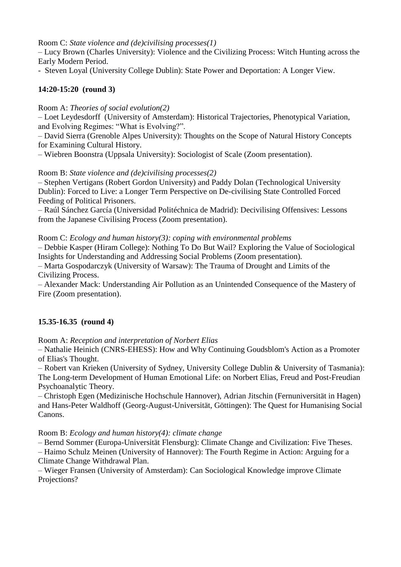Room C: *State violence and (de)civilising processes(1)*

– Lucy Brown (Charles University): Violence and the Civilizing Process: Witch Hunting across the Early Modern Period.

- Steven Loyal (University College Dublin): State Power and Deportation: A Longer View.

# **14:20-15:20 (round 3)**

Room A: *Theories of social evolution(2)*

– Loet Leydesdorff (University of Amsterdam): Historical Trajectories, Phenotypical Variation, and Evolving Regimes: "What is Evolving?".

– David Sierra (Grenoble Alpes University): Thoughts on the Scope of Natural History Concepts for Examining Cultural History.

– Wiebren Boonstra (Uppsala University): Sociologist of Scale (Zoom presentation).

Room B: *State violence and (de)civilising processes(2)*

– Stephen Vertigans (Robert Gordon University) and Paddy Dolan (Technological University Dublin): Forced to Live: a Longer Term Perspective on De-civilising State Controlled Forced Feeding of Political Prisoners.

– Raúl Sánchez García (Universidad Politéchnica de Madrid): Decivilising Offensives: Lessons from the Japanese Civilising Process (Zoom presentation).

Room C: *Ecology and human history(3): coping with environmental problems*

*–* Debbie Kasper (Hiram College): Nothing To Do But Wail? Exploring the Value of Sociological Insights for Understanding and Addressing Social Problems (Zoom presentation)*.*

– Marta Gospodarczyk (University of Warsaw): The Trauma of Drought and Limits of the Civilizing Process.

– Alexander Mack: Understanding Air Pollution as an Unintended Consequence of the Mastery of Fire (Zoom presentation).

# **15.35-16.35 (round 4)**

Room A: *Reception and interpretation of Norbert Elias*

– Nathalie Heinich (CNRS-EHESS): How and Why Continuing Goudsblom's Action as a Promoter of Elias's Thought.

– Robert van Krieken (University of Sydney, University College Dublin & University of Tasmania): The Long-term Development of Human Emotional Life: on Norbert Elias, Freud and Post-Freudian Psychoanalytic Theory.

– Christoph Egen (Medizinische Hochschule Hannover), Adrian Jitschin (Fernuniversität in Hagen) and Hans-Peter Waldhoff (Georg-August-Universität, Göttingen): The Quest for Humanising Social Canons.

Room B: *Ecology and human history(4): climate change*

– Bernd Sommer (Europa-Universität Flensburg): Climate Change and Civilization: Five Theses.

– Haimo Schulz Meinen (University of Hannover): The Fourth Regime in Action: Arguing for a Climate Change Withdrawal Plan.

– Wieger Fransen (University of Amsterdam): Can Sociological Knowledge improve Climate Projections?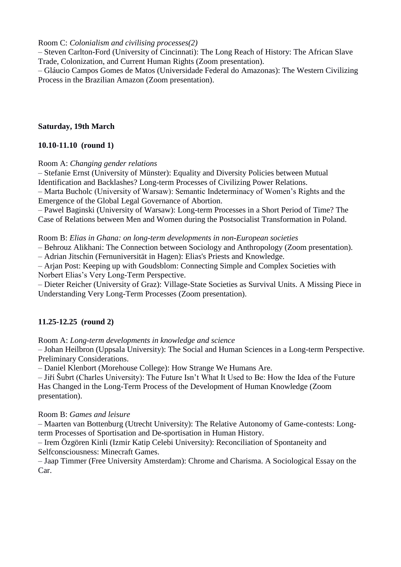Room C: *Colonialism and civilising processes(2)*

– Steven Carlton-Ford (University of Cincinnati): The Long Reach of History: The African Slave Trade, Colonization, and Current Human Rights (Zoom presentation).

– Gláucio Campos Gomes de Matos (Universidade Federal do Amazonas): The Western Civilizing Process in the Brazilian Amazon (Zoom presentation).

### **Saturday, 19th March**

## **10.10-11.10 (round 1)**

Room A: *Changing gender relations*

– Stefanie Ernst (University of Münster): Equality and Diversity Policies between Mutual Identification and Backlashes? Long-term Processes of Civilizing Power Relations.

– Marta Bucholc (University of Warsaw): Semantic Indeterminacy of Women's Rights and the Emergence of the Global Legal Governance of Abortion.

– Pawel Baginski (University of Warsaw): Long-term Processes in a Short Period of Time? The Case of Relations between Men and Women during the Postsocialist Transformation in Poland.

Room B: *Elias in Ghana: on long-term developments in non-European societies*

– Behrouz Alikhani: The Connection between Sociology and Anthropology (Zoom presentation).

– Adrian Jitschin (Fernuniversität in Hagen): Elias's Priests and Knowledge.

– Arjan Post: Keeping up with Goudsblom: Connecting Simple and Complex Societies with Norbert Elias's Very Long-Term Perspective.

– Dieter Reicher (University of Graz): Village-State Societies as Survival Units. A Missing Piece in Understanding Very Long-Term Processes (Zoom presentation).

# **11.25-12.25 (round 2)**

Room A: *Long-term developments in knowledge and science*

– Johan Heilbron (Uppsala University): The Social and Human Sciences in a Long-term Perspective. Preliminary Considerations.

– Daniel Klenbort (Morehouse College): How Strange We Humans Are.

– Jiří Šubrt (Charles University): The Future Isn't What It Used to Be: How the Idea of the Future Has Changed in the Long-Term Process of the Development of Human Knowledge (Zoom presentation).

### Room B: *Games and leisure*

– Maarten van Bottenburg (Utrecht University): The Relative Autonomy of Game-contests: Longterm Processes of Sportisation and De-sportisation in Human History.

– Irem Özgören Kinli (Izmir Katip Celebi University): Reconciliation of Spontaneity and Selfconsciousness: Minecraft Games.

– Jaap Timmer (Free University Amsterdam): Chrome and Charisma. A Sociological Essay on the Car.